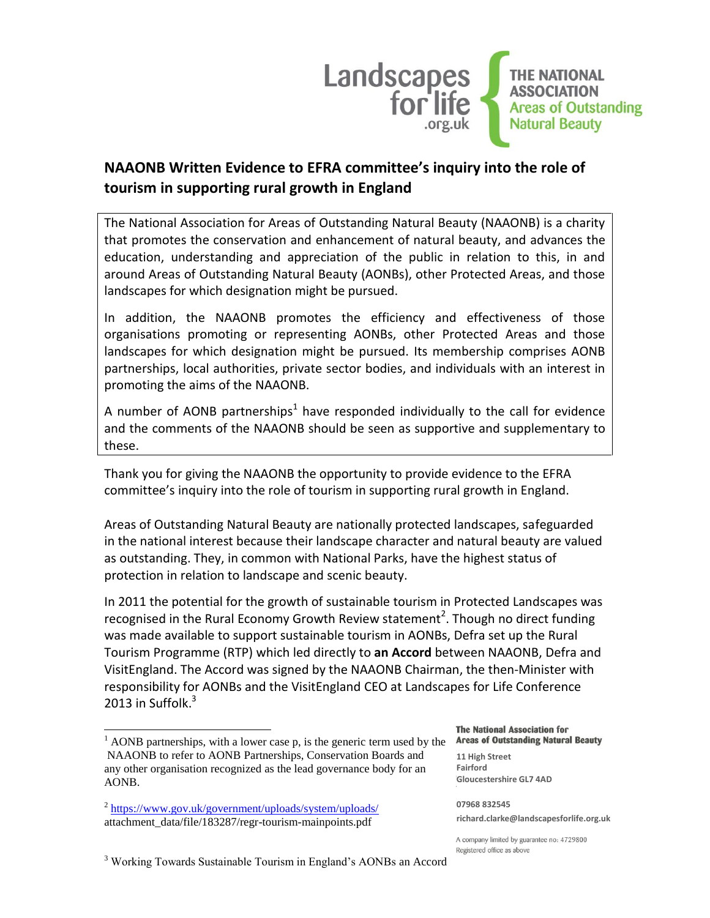

# **NAAONB Written Evidence to EFRA committee's inquiry into the role of tourism in supporting rural growth in England**

The National Association for Areas of Outstanding Natural Beauty (NAAONB) is a charity that promotes the conservation and enhancement of natural beauty, and advances the education, understanding and appreciation of the public in relation to this, in and around Areas of Outstanding Natural Beauty (AONBs), other Protected Areas, and those landscapes for which designation might be pursued.

In addition, the NAAONB promotes the efficiency and effectiveness of those organisations promoting or representing AONBs, other Protected Areas and those landscapes for which designation might be pursued. Its membership comprises AONB partnerships, local authorities, private sector bodies, and individuals with an interest in promoting the aims of the NAAONB.

A number of AONB partnerships<sup>1</sup> have responded individually to the call for evidence and the comments of the NAAONB should be seen as supportive and supplementary to these.

Thank you for giving the NAAONB the opportunity to provide evidence to the EFRA committee's inquiry into the role of tourism in supporting rural growth in England.

Areas of Outstanding Natural Beauty are nationally protected landscapes, safeguarded in the national interest because their landscape character and natural beauty are valued as outstanding. They, in common with National Parks, have the highest status of protection in relation to landscape and scenic beauty.

In 2011 the potential for the growth of sustainable tourism in Protected Landscapes was recognised in the Rural Economy Growth Review statement<sup>2</sup>. Though no direct funding was made available to support sustainable tourism in AONBs, Defra set up the Rural Tourism Programme (RTP) which led directly to **an Accord** between NAAONB, Defra and VisitEngland. The Accord was signed by the NAAONB Chairman, the then-Minister with responsibility for AONBs and the VisitEngland CEO at Landscapes for Life Conference 2013 in Suffolk.<sup>3</sup>

l

**The National Association for Areas of Outstanding Natural Beauty** 

**11 High Street Fairford Gloucestershire GL7 4AD**

**07968 832545 richard.clarke@landscapesforlife.org.uk**

A company limited by guarantee no: 4729800 Registered office as above

<sup>3</sup> Working Towards Sustainable Tourism in England's AONBs an Accord

 $1$  AONB partnerships, with a lower case p, is the generic term used by the NAAONB to refer to AONB Partnerships, Conservation Boards and any other organisation recognized as the lead governance body for an AONB.

<sup>&</sup>lt;sup>2</sup> <https://www.gov.uk/government/uploads/system/uploads/> attachment\_data/file/183287/regr-tourism-mainpoints.pdf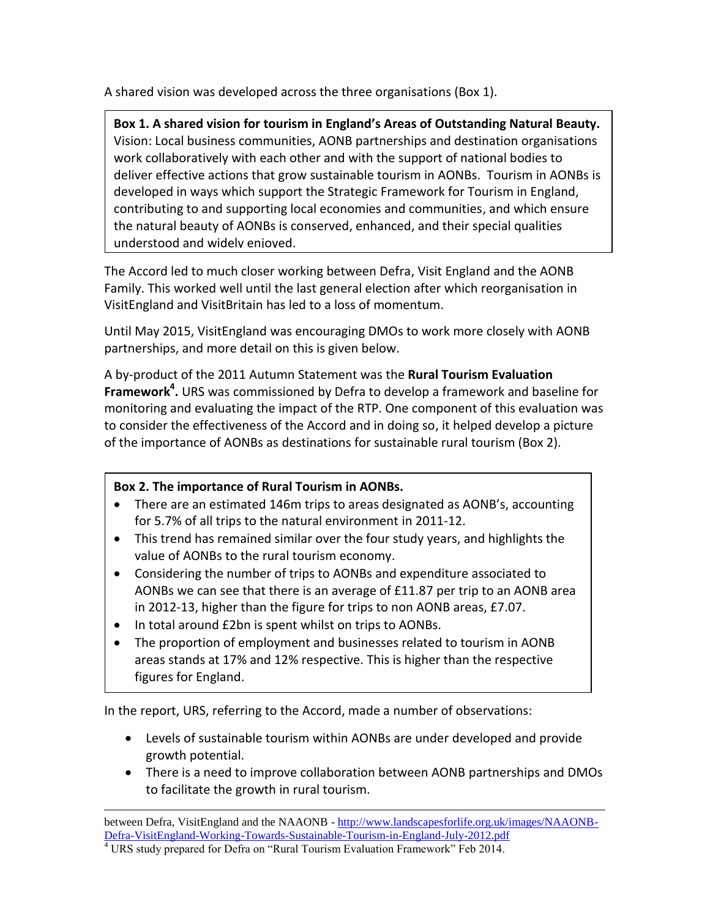A shared vision was developed across the three organisations (Box 1).

**Box 1. A shared vision for tourism in England's Areas of Outstanding Natural Beauty.** Vision: Local business communities, AONB partnerships and destination organisations work collaboratively with each other and with the support of national bodies to deliver effective actions that grow sustainable tourism in AONBs. Tourism in AONBs is developed in ways which support the Strategic Framework for Tourism in England, contributing to and supporting local economies and communities, and which ensure the natural beauty of AONBs is conserved, enhanced, and their special qualities understood and widely enjoyed.

The Accord led to much closer working between Defra, Visit England and the AONB Family. This worked well until the last general election after which reorganisation in VisitEngland and VisitBritain has led to a loss of momentum.

Until May 2015, VisitEngland was encouraging DMOs to work more closely with AONB partnerships, and more detail on this is given below.

A by-product of the 2011 Autumn Statement was the **Rural Tourism Evaluation Framework<sup>4</sup> .** URS was commissioned by Defra to develop a framework and baseline for monitoring and evaluating the impact of the RTP. One component of this evaluation was to consider the effectiveness of the Accord and in doing so, it helped develop a picture of the importance of AONBs as destinations for sustainable rural tourism (Box 2).

## **Box 2. The importance of Rural Tourism in AONBs.**

- There are an estimated 146m trips to areas designated as AONB's, accounting for 5.7% of all trips to the natural environment in 2011-12.
- This trend has remained similar over the four study years, and highlights the value of AONBs to the rural tourism economy.
- Considering the number of trips to AONBs and expenditure associated to AONBs we can see that there is an average of £11.87 per trip to an AONB area in 2012-13, higher than the figure for trips to non AONB areas, £7.07.
- In total around £2bn is spent whilst on trips to AONBs.
- The proportion of employment and businesses related to tourism in AONB areas stands at 17% and 12% respective. This is higher than the respective figures for England.

In the report, URS, referring to the Accord, made a number of observations:

- Levels of sustainable tourism within AONBs are under developed and provide growth potential.
- There is a need to improve collaboration between AONB partnerships and DMOs to facilitate the growth in rural tourism.

l between Defra, VisitEngland and the NAAONB - [http://www.landscapesforlife.org.uk/images/NAAONB-](http://www.landscapesforlife.org.uk/images/NAAONB-Defra-VisitEngland-Working-Towards-Sustainable-Tourism-in-England-July-2012.pdf)[Defra-VisitEngland-Working-Towards-Sustainable-Tourism-in-England-July-2012.pdf](http://www.landscapesforlife.org.uk/images/NAAONB-Defra-VisitEngland-Working-Towards-Sustainable-Tourism-in-England-July-2012.pdf)

<sup>&</sup>lt;sup>4</sup> URS study prepared for Defra on "Rural Tourism Evaluation Framework" Feb 2014.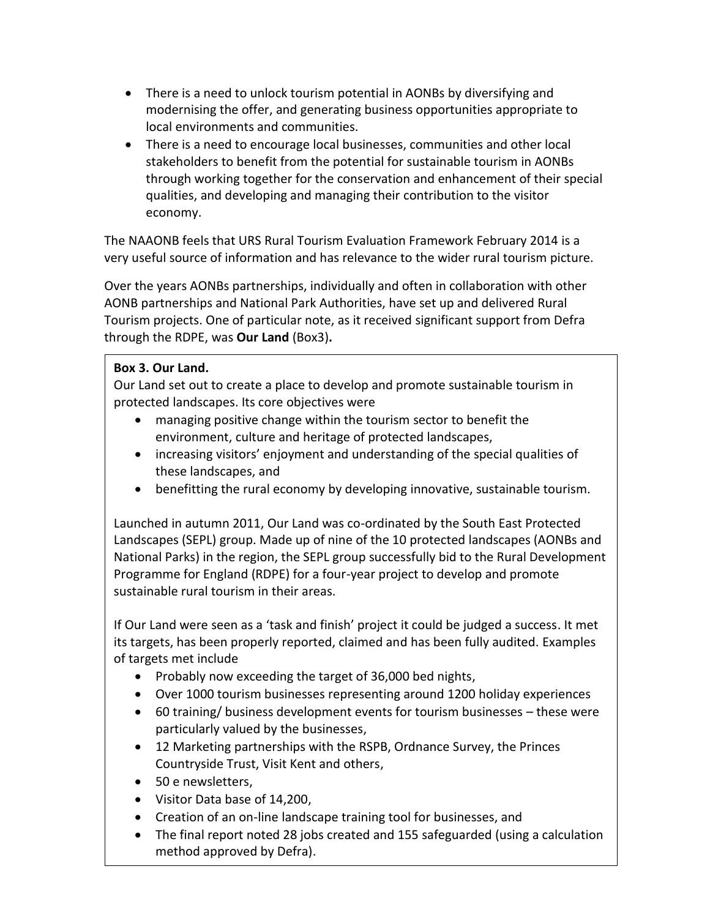- There is a need to unlock tourism potential in AONBs by diversifying and modernising the offer, and generating business opportunities appropriate to local environments and communities.
- There is a need to encourage local businesses, communities and other local stakeholders to benefit from the potential for sustainable tourism in AONBs through working together for the conservation and enhancement of their special qualities, and developing and managing their contribution to the visitor economy.

The NAAONB feels that URS Rural Tourism Evaluation Framework February 2014 is a very useful source of information and has relevance to the wider rural tourism picture.

Over the years AONBs partnerships, individually and often in collaboration with other AONB partnerships and National Park Authorities, have set up and delivered Rural Tourism projects. One of particular note, as it received significant support from Defra through the RDPE, was **Our Land** (Box3)**.**

### **Box 3. Our Land.**

Our Land set out to create a place to develop and promote sustainable tourism in protected landscapes. Its core objectives were

- managing positive change within the tourism sector to benefit the environment, culture and heritage of protected landscapes,
- increasing visitors' enjoyment and understanding of the special qualities of these landscapes, and
- benefitting the rural economy by developing innovative, sustainable tourism.

Launched in autumn 2011, Our Land was co-ordinated by the South East Protected Landscapes (SEPL) group. Made up of nine of the 10 protected landscapes (AONBs and National Parks) in the region, the SEPL group successfully bid to the Rural Development Programme for England (RDPE) for a four-year project to develop and promote sustainable rural tourism in their areas.

If Our Land were seen as a 'task and finish' project it could be judged a success. It met its targets, has been properly reported, claimed and has been fully audited. Examples of targets met include

- Probably now exceeding the target of 36,000 bed nights,
- Over 1000 tourism businesses representing around 1200 holiday experiences
- 60 training/ business development events for tourism businesses these were particularly valued by the businesses,
- 12 Marketing partnerships with the RSPB, Ordnance Survey, the Princes Countryside Trust, Visit Kent and others,
- 50 e newsletters,
- Visitor Data base of 14,200,
- Creation of an on-line landscape training tool for businesses, and
- The final report noted 28 jobs created and 155 safeguarded (using a calculation method approved by Defra).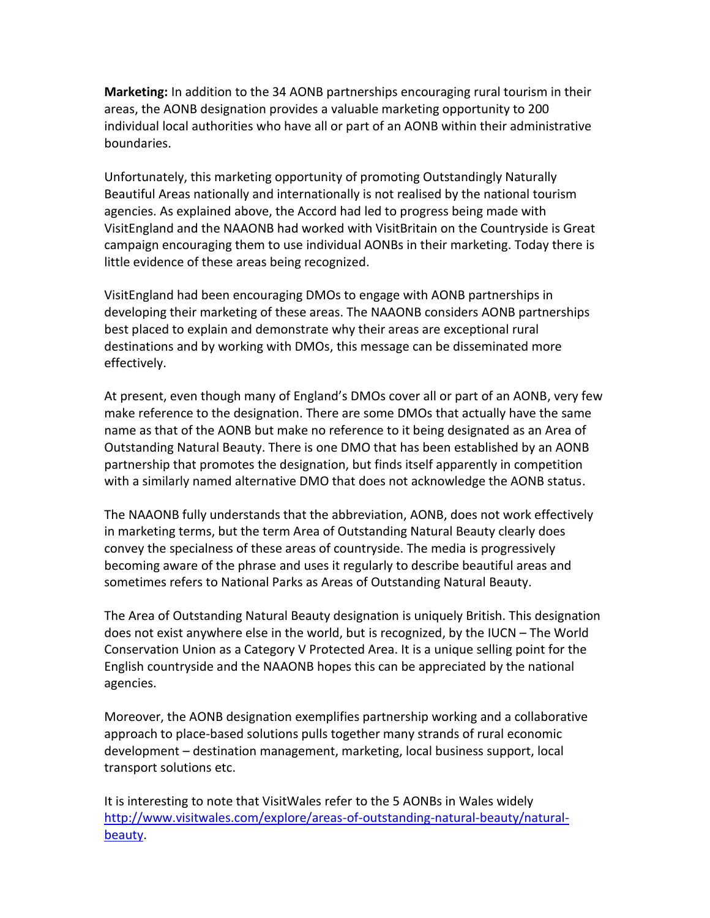**Marketing:** In addition to the 34 AONB partnerships encouraging rural tourism in their areas, the AONB designation provides a valuable marketing opportunity to 200 individual local authorities who have all or part of an AONB within their administrative boundaries.

Unfortunately, this marketing opportunity of promoting Outstandingly Naturally Beautiful Areas nationally and internationally is not realised by the national tourism agencies. As explained above, the Accord had led to progress being made with VisitEngland and the NAAONB had worked with VisitBritain on the Countryside is Great campaign encouraging them to use individual AONBs in their marketing. Today there is little evidence of these areas being recognized.

VisitEngland had been encouraging DMOs to engage with AONB partnerships in developing their marketing of these areas. The NAAONB considers AONB partnerships best placed to explain and demonstrate why their areas are exceptional rural destinations and by working with DMOs, this message can be disseminated more effectively.

At present, even though many of England's DMOs cover all or part of an AONB, very few make reference to the designation. There are some DMOs that actually have the same name as that of the AONB but make no reference to it being designated as an Area of Outstanding Natural Beauty. There is one DMO that has been established by an AONB partnership that promotes the designation, but finds itself apparently in competition with a similarly named alternative DMO that does not acknowledge the AONB status.

The NAAONB fully understands that the abbreviation, AONB, does not work effectively in marketing terms, but the term Area of Outstanding Natural Beauty clearly does convey the specialness of these areas of countryside. The media is progressively becoming aware of the phrase and uses it regularly to describe beautiful areas and sometimes refers to National Parks as Areas of Outstanding Natural Beauty.

The Area of Outstanding Natural Beauty designation is uniquely British. This designation does not exist anywhere else in the world, but is recognized, by the IUCN – The World Conservation Union as a Category V Protected Area. It is a unique selling point for the English countryside and the NAAONB hopes this can be appreciated by the national agencies.

Moreover, the AONB designation exemplifies partnership working and a collaborative approach to place-based solutions pulls together many strands of rural economic development – destination management, marketing, local business support, local transport solutions etc.

It is interesting to note that VisitWales refer to the 5 AONBs in Wales widely [http://www.visitwales.com/explore/areas-of-outstanding-natural-beauty/natural](http://www.visitwales.com/explore/areas-of-outstanding-natural-beauty/natural-beauty)[beauty.](http://www.visitwales.com/explore/areas-of-outstanding-natural-beauty/natural-beauty)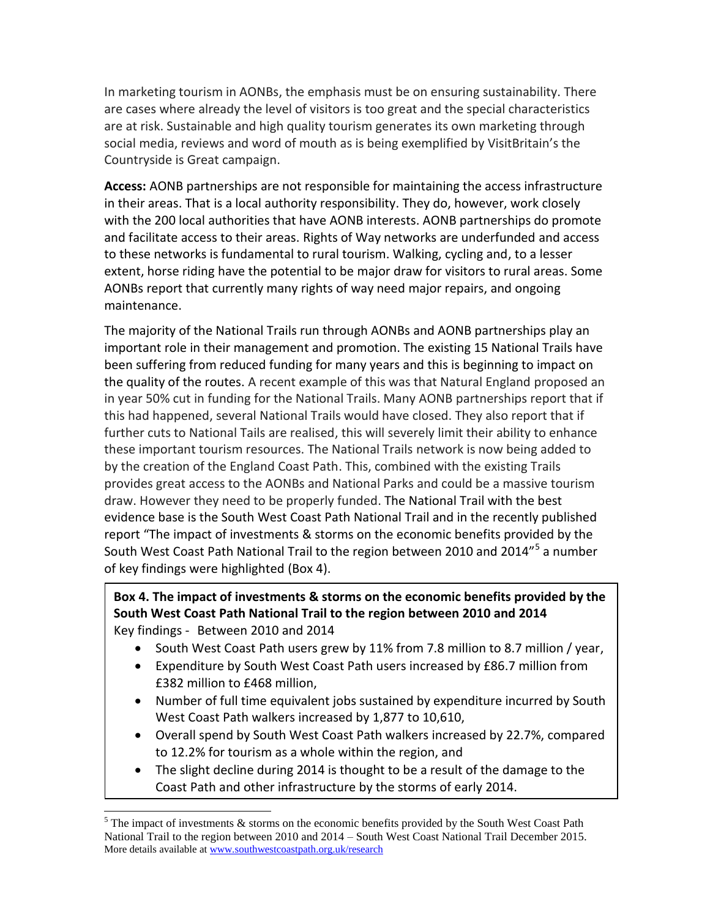In marketing tourism in AONBs, the emphasis must be on ensuring sustainability. There are cases where already the level of visitors is too great and the special characteristics are at risk. Sustainable and high quality tourism generates its own marketing through social media, reviews and word of mouth as is being exemplified by VisitBritain's the Countryside is Great campaign.

**Access:** AONB partnerships are not responsible for maintaining the access infrastructure in their areas. That is a local authority responsibility. They do, however, work closely with the 200 local authorities that have AONB interests. AONB partnerships do promote and facilitate access to their areas. Rights of Way networks are underfunded and access to these networks is fundamental to rural tourism. Walking, cycling and, to a lesser extent, horse riding have the potential to be major draw for visitors to rural areas. Some AONBs report that currently many rights of way need major repairs, and ongoing maintenance.

The majority of the National Trails run through AONBs and AONB partnerships play an important role in their management and promotion. The existing 15 National Trails have been suffering from reduced funding for many years and this is beginning to impact on the quality of the routes. A recent example of this was that Natural England proposed an in year 50% cut in funding for the National Trails. Many AONB partnerships report that if this had happened, several National Trails would have closed. They also report that if further cuts to National Tails are realised, this will severely limit their ability to enhance these important tourism resources. The National Trails network is now being added to by the creation of the England Coast Path. This, combined with the existing Trails provides great access to the AONBs and National Parks and could be a massive tourism draw. However they need to be properly funded. The National Trail with the best evidence base is the South West Coast Path National Trail and in the recently published report "The impact of investments & storms on the economic benefits provided by the South West Coast Path National Trail to the region between 2010 and 2014"<sup>5</sup> a number of key findings were highlighted (Box 4).

### **Box 4. The impact of investments & storms on the economic benefits provided by the South West Coast Path National Trail to the region between 2010 and 2014** Key findings - Between 2010 and 2014

- South West Coast Path users grew by 11% from 7.8 million to 8.7 million / year,
- Expenditure by South West Coast Path users increased by £86.7 million from £382 million to £468 million,
- Number of full time equivalent jobs sustained by expenditure incurred by South West Coast Path walkers increased by 1,877 to 10,610,
- Overall spend by South West Coast Path walkers increased by 22.7%, compared to 12.2% for tourism as a whole within the region, and
- The slight decline during 2014 is thought to be a result of the damage to the Coast Path and other infrastructure by the storms of early 2014.

l

 $5$  The impact of investments & storms on the economic benefits provided by the South West Coast Path National Trail to the region between 2010 and 2014 – South West Coast National Trail December 2015. More details available at [www.southwestcoastpath.org.uk/research](http://www.southwestcoastpath.org.uk/research)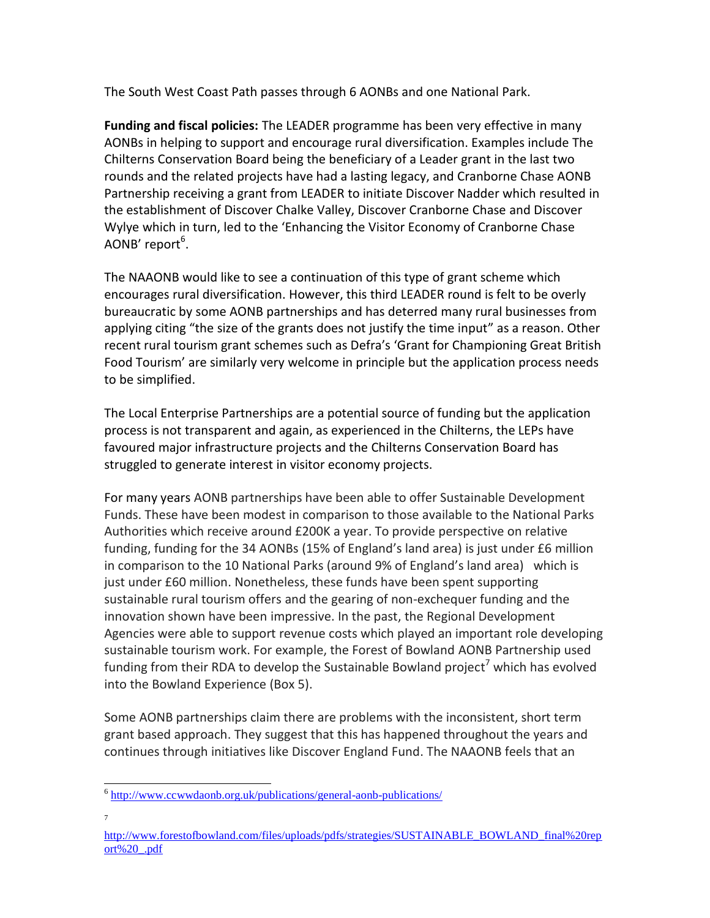The South West Coast Path passes through 6 AONBs and one National Park.

**Funding and fiscal policies:** The LEADER programme has been very effective in many AONBs in helping to support and encourage rural diversification. Examples include The Chilterns Conservation Board being the beneficiary of a Leader grant in the last two rounds and the related projects have had a lasting legacy, and Cranborne Chase AONB Partnership receiving a grant from LEADER to initiate Discover Nadder which resulted in the establishment of Discover Chalke Valley, Discover Cranborne Chase and Discover Wylye which in turn, led to the 'Enhancing the Visitor Economy of Cranborne Chase AONB' report $^6$ .

The NAAONB would like to see a continuation of this type of grant scheme which encourages rural diversification. However, this third LEADER round is felt to be overly bureaucratic by some AONB partnerships and has deterred many rural businesses from applying citing "the size of the grants does not justify the time input" as a reason. Other recent rural tourism grant schemes such as Defra's 'Grant for Championing Great British Food Tourism' are similarly very welcome in principle but the application process needs to be simplified.

The Local Enterprise Partnerships are a potential source of funding but the application process is not transparent and again, as experienced in the Chilterns, the LEPs have favoured major infrastructure projects and the Chilterns Conservation Board has struggled to generate interest in visitor economy projects.

For many years AONB partnerships have been able to offer Sustainable Development Funds. These have been modest in comparison to those available to the National Parks Authorities which receive around £200K a year. To provide perspective on relative funding, funding for the 34 AONBs (15% of England's land area) is just under £6 million in comparison to the 10 National Parks (around 9% of England's land area) which is just under £60 million. Nonetheless, these funds have been spent supporting sustainable rural tourism offers and the gearing of non-exchequer funding and the innovation shown have been impressive. In the past, the Regional Development Agencies were able to support revenue costs which played an important role developing sustainable tourism work. For example, the Forest of Bowland AONB Partnership used funding from their RDA to develop the Sustainable Bowland project<sup>7</sup> which has evolved into the Bowland Experience (Box 5).

Some AONB partnerships claim there are problems with the inconsistent, short term grant based approach. They suggest that this has happened throughout the years and continues through initiatives like Discover England Fund. The NAAONB feels that an

7

l <sup>6</sup> <http://www.ccwwdaonb.org.uk/publications/general-aonb-publications/>

[http://www.forestofbowland.com/files/uploads/pdfs/strategies/SUSTAINABLE\\_BOWLAND\\_final%20rep](http://www.forestofbowland.com/files/uploads/pdfs/strategies/SUSTAINABLE_BOWLAND_final%20report%20_.pdf) [ort%20\\_.pdf](http://www.forestofbowland.com/files/uploads/pdfs/strategies/SUSTAINABLE_BOWLAND_final%20report%20_.pdf)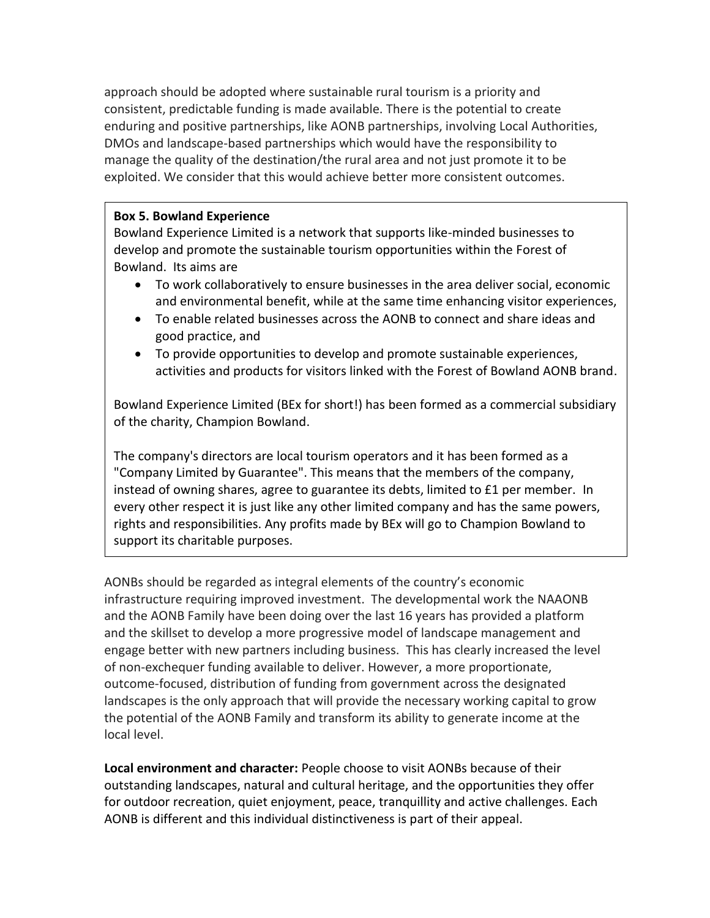approach should be adopted where sustainable rural tourism is a priority and consistent, predictable funding is made available. There is the potential to create enduring and positive partnerships, like AONB partnerships, involving Local Authorities, DMOs and landscape-based partnerships which would have the responsibility to manage the quality of the destination/the rural area and not just promote it to be exploited. We consider that this would achieve better more consistent outcomes.

#### **Box 5. Bowland Experience**

Bowland Experience Limited is a network that supports like-minded businesses to develop and promote the sustainable tourism opportunities within the Forest of Bowland. Its aims are

- To work collaboratively to ensure businesses in the area deliver social, economic and environmental benefit, while at the same time enhancing visitor experiences,
- To enable related businesses across the AONB to connect and share ideas and good practice, and
- To provide opportunities to develop and promote sustainable experiences, activities and products for visitors linked with the Forest of Bowland AONB brand.

Bowland Experience Limited (BEx for short!) has been formed as a commercial subsidiary of the charity, [Champion Bowland.](http://www.championbowland.org.uk/)

The company's directors are local tourism operators and it has been formed as a "Company Limited by Guarantee". This means that the members of the company, instead of owning shares, agree to guarantee its debts, limited to £1 per member. In every other respect it is just like any other limited company and has the same powers, rights and responsibilities. Any profits made by BEx will go to [Champion Bowland](http://www.championbowland.org.uk/) to support its charitable purposes.

AONBs should be regarded as integral elements of the country's economic infrastructure requiring improved investment. The developmental work the NAAONB and the AONB Family have been doing over the last 16 years has provided a platform and the skillset to develop a more progressive model of landscape management and engage better with new partners including business. This has clearly increased the level of non-exchequer funding available to deliver. However, a more proportionate, outcome-focused, distribution of funding from government across the designated landscapes is the only approach that will provide the necessary working capital to grow the potential of the AONB Family and transform its ability to generate income at the local level.

**Local environment and character:** People choose to visit AONBs because of their outstanding landscapes, natural and cultural heritage, and the opportunities they offer for outdoor recreation, quiet enjoyment, peace, tranquillity and active challenges. Each AONB is different and this individual distinctiveness is part of their appeal.